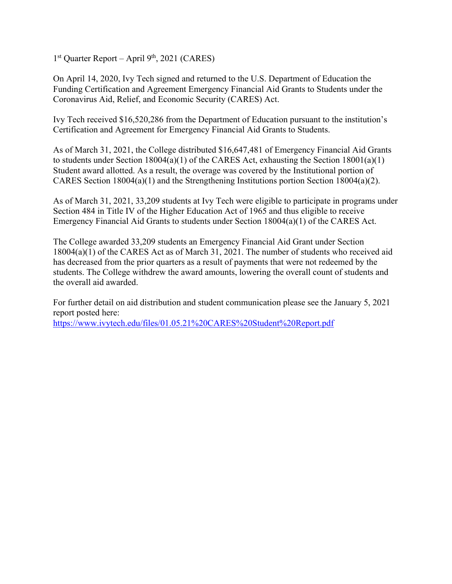$1<sup>st</sup>$  Quarter Report – April 9<sup>th</sup>, 2021 (CARES)

On April 14, 2020, Ivy Tech signed and returned to the U.S. Department of Education the Funding Certification and Agreement Emergency Financial Aid Grants to Students under the Coronavirus Aid, Relief, and Economic Security (CARES) Act.

Ivy Tech received \$16,520,286 from the Department of Education pursuant to the institution's Certification and Agreement for Emergency Financial Aid Grants to Students.

As of March 31, 2021, the College distributed \$16,647,481 of Emergency Financial Aid Grants to students under Section 18004(a)(1) of the CARES Act, exhausting the Section 18001(a)(1) Student award allotted. As a result, the overage was covered by the Institutional portion of CARES Section 18004(a)(1) and the Strengthening Institutions portion Section 18004(a)(2).

As of March 31, 2021, 33,209 students at Ivy Tech were eligible to participate in programs under Section 484 in Title IV of the Higher Education Act of 1965 and thus eligible to receive Emergency Financial Aid Grants to students under Section 18004(a)(1) of the CARES Act.

The College awarded 33,209 students an Emergency Financial Aid Grant under Section 18004(a)(1) of the CARES Act as of March 31, 2021. The number of students who received aid has decreased from the prior quarters as a result of payments that were not redeemed by the students. The College withdrew the award amounts, lowering the overall count of students and the overall aid awarded.

For further detail on aid distribution and student communication please see the January 5, 2021 report posted here: https://www.ivytech.edu/files/01.05.21%20CARES%20Student%20Report.pdf